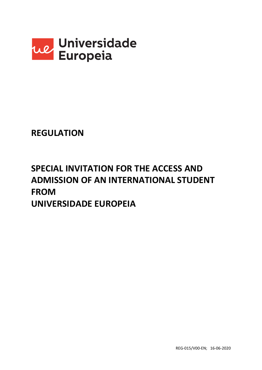

## **REGULATION**

# **SPECIAL INVITATION FOR THE ACCESS AND ADMISSION OF AN INTERNATIONAL STUDENT FROM UNIVERSIDADE EUROPEIA**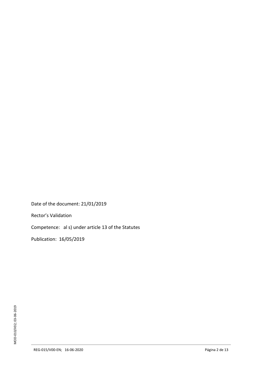Date of the document: 21/01/2019

Rector's Validation

Competence: al s) under article 13 of the Statutes

Publication: 16/05/2019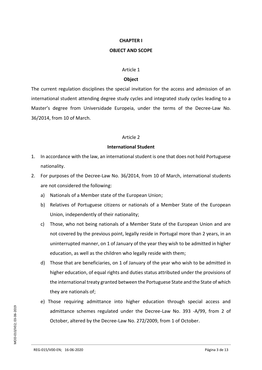## **CHAPTER I**

## **OBJECT AND SCOPE**

#### Article 1

## **Object**

The current regulation disciplines the special invitation for the access and admission of an international student attending degree study cycles and integrated study cycles leading to a Master's degree from Universidade Europeia, under the terms of the Decree-Law No. 36/2014, from 10 of March.

## Article 2

## **International Student**

- 1. In accordance with the law, an international student is one that does not hold Portuguese nationality.
- 2. For purposes of the Decree-Law No. 36/2014, from 10 of March, international students are not considered the following:
	- a) Nationals of a Member state of the European Union;
	- b) Relatives of Portuguese citizens or nationals of a Member State of the European Union, independently of their nationality;
	- c) Those, who not being nationals of a Member State of the European Union and are not covered by the previous point, legally reside in Portugal more than 2 years, in an uninterrupted manner, on 1 of January of the year they wish to be admitted in higher education, as well as the children who legally reside with them;
	- d) Those that are beneficiaries, on 1 of January of the year who wish to be admitted in higher education, of equal rights and duties status attributed under the provisions of the international treaty granted between the Portuguese State and the State of which they are nationals of;
	- e) Those requiring admittance into higher education through special access and admittance schemes regulated under the Decree-Law No. 393 -A/99, from 2 of October, altered by the Decree-Law No. 272/2009, from 1 of October.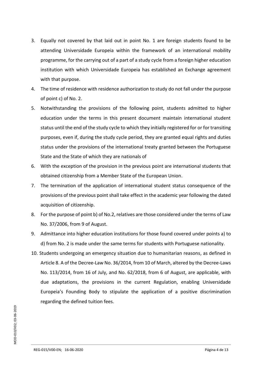- 3. Equally not covered by that laid out in point No. 1 are foreign students found to be attending Universidade Europeia within the framework of an international mobility programme, for the carrying out of a part of a study cycle from a foreign higher education institution with which Universidade Europeia has established an Exchange agreement with that purpose.
- 4. The time of residence with residence authorization to study do not fall under the purpose of point c) of No. 2.
- 5. Notwithstanding the provisions of the following point, students admitted to higher education under the terms in this present document maintain international student status until the end of the study cycle to which they initially registered for or for transiting purposes, even if, during the study cycle period, they are granted equal rights and duties status under the provisions of the international treaty granted between the Portuguese State and the State of which they are nationals of
- 6. With the exception of the provision in the previous point are international students that obtained citizenship from a Member State of the European Union.
- 7. The termination of the application of international student status consequence of the provisions of the previous point shall take effect in the academic year following the dated acquisition of citizenship.
- 8. For the purpose of point b) of No.2, relatives are those considered under the terms of Law No. 37/2006, from 9 of August.
- 9. Admittance into higher education institutions for those found covered under points a) to d) from No. 2 is made under the same terms for students with Portuguese nationality.
- 10. Students undergoing an emergency situation due to humanitarian reasons, as defined in Article 8. A of the Decree-Law No. 36/2014, from 10 of March, altered by the Decree-Laws No. 113/2014, from 16 of July, and No. 62/2018, from 6 of August, are applicable, with due adaptations, the provisions in the current Regulation, enabling Universidade Europeia's Founding Body to stipulate the application of a positive discrimination regarding the defined tuition fees.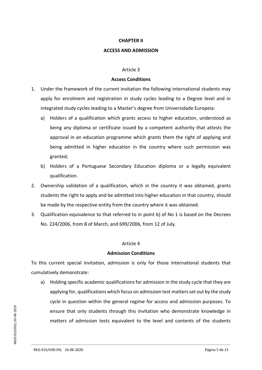#### **CHAPTER II**

#### **ACCESS AND ADMISSION**

#### Article 3

#### **Access Conditions**

- 1. Under the framework of the current invitation the following international students may apply for enrolment and registration in study cycles leading to a Degree level and in integrated study cycles leading to a Master's degree from Universidade Europeia:
	- a) Holders of a qualification which grants access to higher education, understood as being any diploma or certificate issued by a competent authority that attests the approval in an education programme which grants them the right of applying and being admitted in higher education in the country where such permission was granted;
	- b) Holders of a Portuguese Secondary Education diploma or a legally equivalent qualification.
- 2. Ownership validation of a qualification, which in the country it was obtained, grants students the right to apply and be admitted into higher education in that country, should be made by the respective entity from the country where it was obtained.
- 3. Qualification equivalence to that referred to in point b) of No 1 is based on the Decrees No. 224/2006, from 8 of March, and 699/2006, from 12 of July.

#### Article 4

#### **Admission Conditions**

To this current special invitation, admission is only for those international students that cumulatively demonstrate:

a) Holding specific academic qualifications for admission in the study cycle that they are applying for, qualifications which focus on admission test mattersset out by the study cycle in question within the general regime for access and admission purposes. To ensure that only students through this invitation who demonstrate knowledge in matters of admission tests equivalent to the level and contents of the students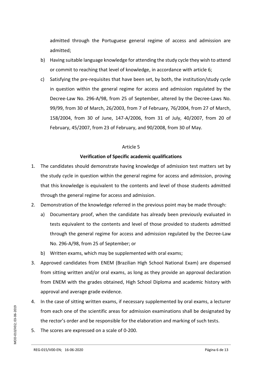admitted through the Portuguese general regime of access and admission are admitted;

- b) Having suitable language knowledge for attending the study cycle they wish to attend or commit to reaching that level of knowledge, in accordance with article 6;
- c) Satisfying the pre-requisites that have been set, by both, the institution/study cycle in question within the general regime for access and admission regulated by the Decree-Law No. 296-A/98, from 25 of September, altered by the Decree-Laws No. 99/99, from 30 of March, 26/2003, from 7 of February, 76/2004, from 27 of March, 158/2004, from 30 of June, 147-A/2006, from 31 of July, 40/2007, from 20 of February, 45/2007, from 23 of February, and 90/2008, from 30 of May.

#### Article 5

## **Verification of Specific academic qualifications**

- 1. The candidates should demonstrate having knowledge of admission test matters set by the study cycle in question within the general regime for access and admission, proving that this knowledge is equivalent to the contents and level of those students admitted through the general regime for access and admission.
- 2. Demonstration of the knowledge referred in the previous point may be made through:
	- a) Documentary proof, when the candidate has already been previously evaluated in tests equivalent to the contents and level of those provided to students admitted through the general regime for access and admission regulated by the Decree-Law No. 296-A/98, from 25 of September; or
	- b) Written exams, which may be supplemented with oral exams;
- 3. Approved candidates from ENEM (Brazilian High School National Exam) are dispensed from sitting written and/or oral exams, as long as they provide an approval declaration from ENEM with the grades obtained, High School Diploma and academic history with approval and average grade evidence.
- 4. In the case of sitting written exams, if necessary supplemented by oral exams, a lecturer from each one of the scientific areas for admission examinations shall be designated by the rector's order and be responsible for the elaboration and marking of such tests.
- 5. The scores are expressed on a scale of 0-200.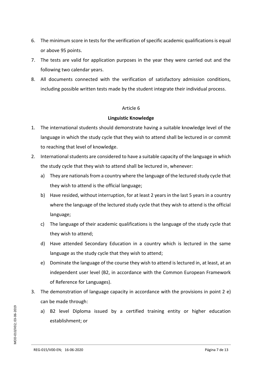- 6. The minimum score in tests for the verification of specific academic qualifications is equal or above 95 points.
- 7. The tests are valid for application purposes in the year they were carried out and the following two calendar years.
- 8. All documents connected with the verification of satisfactory admission conditions, including possible written tests made by the student integrate their individual process.

## Article 6

## **Linguistic Knowledge**

- 1. The international students should demonstrate having a suitable knowledge level of the language in which the study cycle that they wish to attend shall be lectured in or commit to reaching that level of knowledge.
- 2. International students are considered to have a suitable capacity of the language in which the study cycle that they wish to attend shall be lectured in, whenever:
	- a) They are nationals from a country where the language of the lectured study cycle that they wish to attend is the official language;
	- b) Have resided, without interruption, for at least 2 years in the last 5 years in a country where the language of the lectured study cycle that they wish to attend is the official language;
	- c) The language of their academic qualifications is the language of the study cycle that they wish to attend;
	- d) Have attended Secondary Education in a country which is lectured in the same language as the study cycle that they wish to attend;
	- e) Dominate the language of the course they wish to attend is lectured in, at least, at an independent user level (B2, in accordance with the Common European Framework of Reference for Languages).
- 3. The demonstration of language capacity in accordance with the provisions in point 2 e) can be made through:
	- a) B2 level Diploma issued by a certified training entity or higher education establishment; or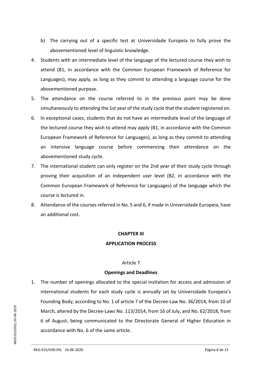- b) The carrying out of a specific test at Universidade Europeia to fully prove the abovementioned level of linguistic knowledge.
- 4. Students with an intermediate level of the language of the lectured course they wish to attend (B1, in accordance with the Common European Framework of Reference for Languages), may apply, as long as they commit to attending a language course for the abovementioned purpose.
- 5. The attendance on the course referred to in the previous point may be done simultaneously to attending the 1st year of the study cycle that the student registered on.
- 6. In exceptional cases, students that do not have an intermediate level of the language of the lectured course they wish to attend may apply (B1, in accordance with the Common European Framework of Reference for Languages), as long as they commit to attending an intensive language course before commencing their attendance on the abovementioned study cycle.
- 7. The international student can only register on the 2nd year of their study cycle through proving their acquisition of an independent user level (B2, in accordance with the Common European Framework of Reference for Languages) of the language which the course is lectured in.
- 8. Attendance of the courses referred in No. 5 and 6, if made in Universidade Europeia, have an additional cost.

## **CHAPTER III APPLICATION PROCESS**

## Article 7

## **Openings and Deadlines**

1. The number of openings allocated to the special invitation for access and admission of international students for each study cycle is annually set by Universidade Europeia's Founding Body, according to No. 1 of article 7 of the Decree-Law No. 36/2014, from 10 of March, altered by the Decree-Laws No. 113/2014, from 16 of July, and No. 62/2018, from 6 of August, being communicated to the Directorate General of Higher Education in accordance with No. 6 of the same article.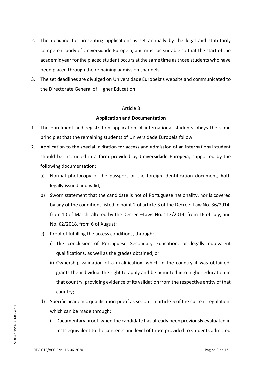- 2. The deadline for presenting applications is set annually by the legal and statutorily competent body of Universidade Europeia, and must be suitable so that the start of the academic year for the placed student occurs at the same time as those students who have been placed through the remaining admission channels.
- 3. The set deadlines are divulged on Universidade Europeia's website and communicated to the Directorate General of Higher Education.

#### Article 8

## **Application and Documentation**

- 1. The enrolment and registration application of international students obeys the same principles that the remaining students of Universidade Europeia follow.
- 2. Application to the special invitation for access and admission of an international student should be instructed in a form provided by Universidade Europeia, supported by the following documentation:
	- a) Normal photocopy of the passport or the foreign identification document, both legally issued and valid;
	- b) Sworn statement that the candidate is not of Portuguese nationality, nor is covered by any of the conditions listed in point 2 of article 3 of the Decree- Law No. 36/2014, from 10 of March, altered by the Decree –Laws No. 113/2014, from 16 of July, and No. 62/2018, from 6 of August;
	- c) Proof of fulfilling the access conditions, through:
		- i) The conclusion of Portuguese Secondary Education, or legally equivalent qualifications, as well as the grades obtained; or
		- ii) Ownership validation of a qualification, which in the country it was obtained, grants the individual the right to apply and be admitted into higher education in that country, providing evidence of its validation from the respective entity of that country;
	- d) Specific academic qualification proof as set out in article 5 of the current regulation, which can be made through:
		- i) Documentary proof, when the candidate has already been previously evaluated in tests equivalent to the contents and level of those provided to students admitted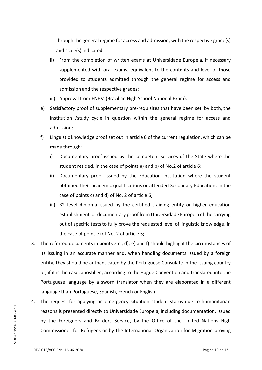through the general regime for access and admission, with the respective grade(s) and scale(s) indicated;

- ii) From the completion of written exams at Universidade Europeia, if necessary supplemented with oral exams, equivalent to the contents and level of those provided to students admitted through the general regime for access and admission and the respective grades;
- iii) Approval from ENEM (Brazilian High School National Exam).
- e) Satisfactory proof of supplementary pre-requisites that have been set, by both, the institution /study cycle in question within the general regime for access and admission;
- f) Linguistic knowledge proof set out in article 6 of the current regulation, which can be made through:
	- i) Documentary proof issued by the competent services of the State where the student resided, in the case of points a) and b) of No.2 of article 6;
	- ii) Documentary proof issued by the Education Institution where the student obtained their academic qualifications or attended Secondary Education, in the case of points c) and d) of No. 2 of article 6;
	- iii) B2 level diploma issued by the certified training entity or higher education establishment or documentary proof from Universidade Europeia of the carrying out of specific tests to fully prove the requested level of linguistic knowledge, in the case of point e) of No. 2 of article 6;
- 3. The referred documents in points 2 c), d), e) and f) should highlight the circumstances of its issuing in an accurate manner and, when handling documents issued by a foreign entity, they should be authenticated by the Portuguese Consulate in the issuing country or, if it is the case, apostilled, according to the Hague Convention and translated into the Portuguese language by a sworn translator when they are elaborated in a different language than Portuguese, Spanish, French or English.
- 4. The request for applying an emergency situation student status due to humanitarian reasons is presented directly to Universidade Europeia, including documentation, issued by the Foreigners and Borders Service, by the Office of the United Nations High Commissioner for Refugees or by the International Organization for Migration proving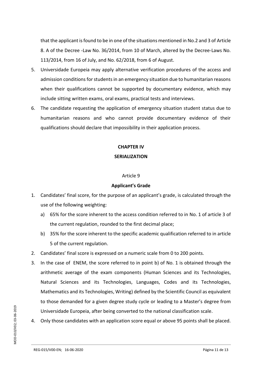that the applicant is found to be in one of the situations mentioned in No.2 and 3 of Article 8. A of the Decree -Law No. 36/2014, from 10 of March, altered by the Decree-Laws No. 113/2014, from 16 of July, and No. 62/2018, from 6 of August.

- 5. Universidade Europeia may apply alternative verification procedures of the access and admission conditions for students in an emergency situation due to humanitarian reasons when their qualifications cannot be supported by documentary evidence, which may include sitting written exams, oral exams, practical tests and interviews.
- 6. The candidate requesting the application of emergency situation student status due to humanitarian reasons and who cannot provide documentary evidence of their qualifications should declare that impossibility in their application process.

## **CHAPTER IV**

## **SERIALIZATION**

## Article 9

## **Applicant's Grade**

- 1. Candidates' final score, for the purpose of an applicant's grade, is calculated through the use of the following weighting:
	- a) 65% for the score inherent to the access condition referred to in No. 1 of article 3 of the current regulation, rounded to the first decimal place;
	- b) 35% for the score inherent to the specific academic qualification referred to in article 5 of the current regulation.
- 2. Candidates' final score is expressed on a numeric scale from 0 to 200 points.
- 3. In the case of ENEM, the score referred to in point b) of No. 1 is obtained through the arithmetic average of the exam components (Human Sciences and its Technologies, Natural Sciences and its Technologies, Languages, Codes and its Technologies, Mathematics and its Technologies, Writing) defined by the Scientific Council as equivalent to those demanded for a given degree study cycle or leading to a Master's degree from Universidade Europeia, after being converted to the national classification scale.
- 4. Only those candidates with an application score equal or above 95 points shall be placed.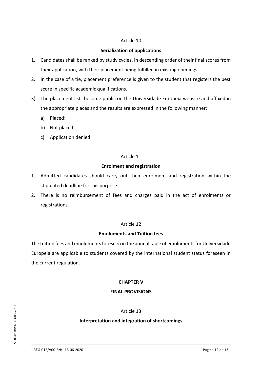## Article 10

## **Serialization of applications**

- 1. Candidates shall be ranked by study cycles, in descending order of their final scores from their application, with their placement being fulfilled in existing openings.
- 2. In the case of a tie, placement preference is given to the student that registers the best score in specific academic qualifications.
- 3) The placement lists become public on the Universidade Europeia website and affixed in the appropriate places and the results are expressed in the following manner:
	- a) Placed;
	- b) Not placed;
	- c) Application denied.

## Article 11

## **Enrolment and registration**

- 1. Admitted candidates should carry out their enrolment and registration within the stipulated deadline for this purpose.
- 2. There is no reimbursement of fees and charges paid in the act of enrolments or registrations.

## Article 12

## **Emoluments and Tuition fees**

The tuition fees and emoluments foreseen in the annual table of emoluments for Universidade Europeia are applicable to students covered by the international student status foreseen in the current regulation.

## **CHAPTER V**

## **FINAL PROVISIONS**

Article 13

## **Interpretation and integration of shortcomings**